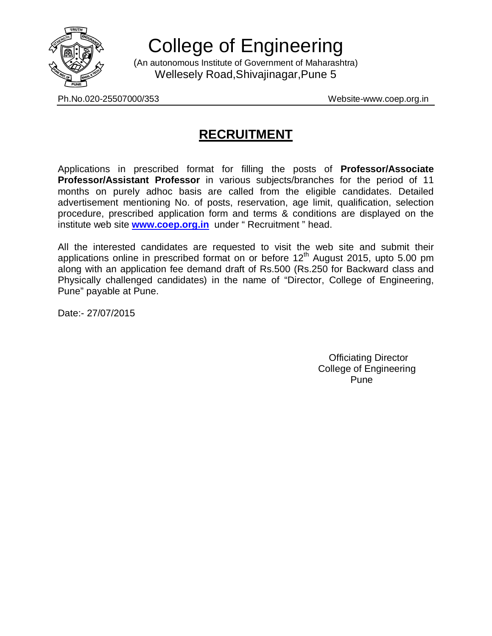

College of Engineering

(An autonomous Institute of Government of Maharashtra) Wellesely Road,Shivajinagar,Pune 5

Ph.No.020-25507000/353 Website-www.coep.org.in

# **RECRUITMENT**

Applications in prescribed format for filling the posts of **Professor/Associate Professor/Assistant Professor** in various subjects/branches for the period of 11 months on purely adhoc basis are called from the eligible candidates. Detailed advertisement mentioning No. of posts, reservation, age limit, qualification, selection procedure, prescribed application form and terms & conditions are displayed on the institute web site **www.coep.org.in** under " Recruitment " head.

All the interested candidates are requested to visit the web site and submit their applications online in prescribed format on or before  $12<sup>th</sup>$  August 2015, upto 5.00 pm along with an application fee demand draft of Rs.500 (Rs.250 for Backward class and Physically challenged candidates) in the name of "Director, College of Engineering, Pune" payable at Pune.

Date:- 27/07/2015

 Officiating Director College of Engineering Pune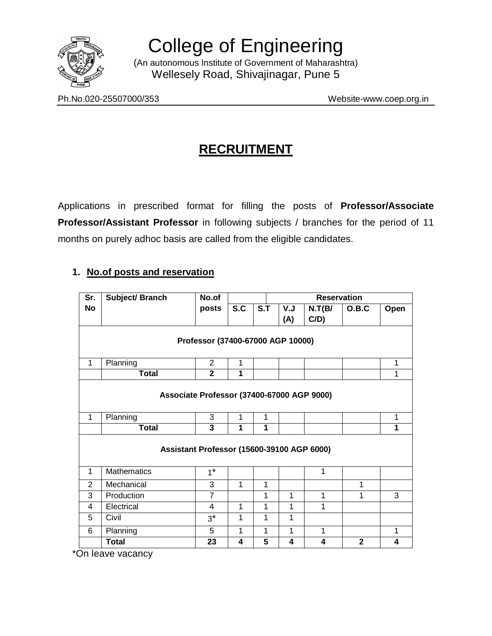

College of Engineering

(An autonomous Institute of Government of Maharashtra) Wellesely Road, Shivajinagar, Pune 5

Ph.No.020-25507000/353 Website-www.coep.org.in

# **RECRUITMENT**

Applications in prescribed format for filling the posts of **Professor/Associate Professor/Assistant Professor** in following subjects / branches for the period of 11 months on purely adhoc basis are called from the eligible candidates.

## **1. No.of posts and reservation**

| Sr.                                        | Subject/ Branch    | No.of          | <b>Reservation</b> |     |             |        |              |      |
|--------------------------------------------|--------------------|----------------|--------------------|-----|-------------|--------|--------------|------|
| <b>No</b>                                  |                    | posts          | S.C                | S.T | V.J         | N.T(B/ | O.B.C        | Open |
|                                            |                    |                |                    |     | (A)         | C/D)   |              |      |
| Professor (37400-67000 AGP 10000)          |                    |                |                    |     |             |        |              |      |
|                                            |                    |                |                    |     |             |        |              |      |
| $\mathbf{1}$                               | Planning           | 2              | 1                  |     |             |        |              | 1    |
|                                            | <b>Total</b>       | $\overline{2}$ | 1                  |     |             |        |              | 1    |
| Associate Professor (37400-67000 AGP 9000) |                    |                |                    |     |             |        |              |      |
|                                            |                    |                |                    |     |             |        |              |      |
| $\mathbf{1}$                               | Planning           | 3              | 1                  | 1   |             |        |              | 1    |
|                                            | <b>Total</b>       | 3              | 1                  | 1   |             |        |              | 1    |
| Assistant Professor (15600-39100 AGP 6000) |                    |                |                    |     |             |        |              |      |
| $\mathbf{1}$                               | <b>Mathematics</b> | $1^*$          |                    |     |             | 1      |              |      |
| $\overline{2}$                             | Mechanical         | 3              | 1                  | 1   |             |        | 1            |      |
| 3                                          | Production         | $\overline{7}$ |                    | 1   | 1           | 1      | 1            | 3    |
| 4                                          | Electrical         | 4              | 1                  | 1   | 1           | 1      |              |      |
| 5                                          | Civil              | $3^*$          | 1                  | 1   | $\mathbf 1$ |        |              |      |
| 6                                          | Planning           | 5              | 1                  | 1   | 1           | 1      |              | 1    |
|                                            | <b>Total</b>       | 23             | 4                  | 5   | 4           | 4      | $\mathbf{2}$ | 4    |

\*On leave vacancy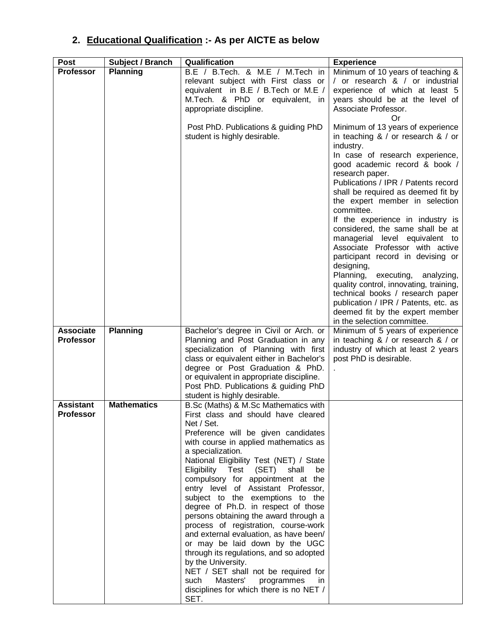# **2. Educational Qualification :- As per AICTE as below**

| <b>Post</b>      | Subject / Branch   | Qualification                                                                    | <b>Experience</b>                                                                        |
|------------------|--------------------|----------------------------------------------------------------------------------|------------------------------------------------------------------------------------------|
| <b>Professor</b> | <b>Planning</b>    | B.E / B.Tech. & M.E / M.Tech in                                                  | Minimum of 10 years of teaching &                                                        |
|                  |                    | relevant subject with First class or                                             | / or research & / or industrial                                                          |
|                  |                    | equivalent in B.E / B.Tech or M.E /                                              | experience of which at least 5                                                           |
|                  |                    | M.Tech. & PhD or equivalent, in                                                  | years should be at the level of                                                          |
|                  |                    | appropriate discipline.                                                          | Associate Professor.<br>Or                                                               |
|                  |                    | Post PhD. Publications & guiding PhD<br>student is highly desirable.             | Minimum of 13 years of experience<br>in teaching $8 /$ or research $8 /$ or<br>industry. |
|                  |                    |                                                                                  | In case of research experience,                                                          |
|                  |                    |                                                                                  | good academic record & book /<br>research paper.                                         |
|                  |                    |                                                                                  | Publications / IPR / Patents record<br>shall be required as deemed fit by                |
|                  |                    |                                                                                  | the expert member in selection<br>committee.                                             |
|                  |                    |                                                                                  | If the experience in industry is                                                         |
|                  |                    |                                                                                  | considered, the same shall be at<br>managerial level equivalent to                       |
|                  |                    |                                                                                  | Associate Professor with active<br>participant record in devising or                     |
|                  |                    |                                                                                  | designing,<br>Planning, executing, analyzing,                                            |
|                  |                    |                                                                                  | quality control, innovating, training,                                                   |
|                  |                    |                                                                                  | technical books / research paper                                                         |
|                  |                    |                                                                                  | publication / IPR / Patents, etc. as<br>deemed fit by the expert member                  |
|                  |                    |                                                                                  | in the selection committee.                                                              |
| <b>Associate</b> | <b>Planning</b>    | Bachelor's degree in Civil or Arch. or                                           | Minimum of 5 years of experience                                                         |
| <b>Professor</b> |                    | Planning and Post Graduation in any                                              | in teaching $& /$ or research $& /$ or                                                   |
|                  |                    | specialization of Planning with first                                            | industry of which at least 2 years                                                       |
|                  |                    | class or equivalent either in Bachelor's                                         | post PhD is desirable.                                                                   |
|                  |                    | degree or Post Graduation & PhD.                                                 |                                                                                          |
|                  |                    | or equivalent in appropriate discipline.<br>Post PhD. Publications & guiding PhD |                                                                                          |
|                  |                    | student is highly desirable.                                                     |                                                                                          |
| <b>Assistant</b> | <b>Mathematics</b> | B.Sc (Maths) & M.Sc Mathematics with                                             |                                                                                          |
| Professor        |                    | First class and should have cleared<br>Net / Set.                                |                                                                                          |
|                  |                    | Preference will be given candidates                                              |                                                                                          |
|                  |                    | with course in applied mathematics as                                            |                                                                                          |
|                  |                    | a specialization.                                                                |                                                                                          |
|                  |                    | National Eligibility Test (NET) / State<br>Eligibility Test (SET)<br>shall<br>be |                                                                                          |
|                  |                    | compulsory for appointment at the                                                |                                                                                          |
|                  |                    | entry level of Assistant Professor,                                              |                                                                                          |
|                  |                    | subject to the exemptions to the                                                 |                                                                                          |
|                  |                    | degree of Ph.D. in respect of those                                              |                                                                                          |
|                  |                    | persons obtaining the award through a                                            |                                                                                          |
|                  |                    | process of registration, course-work<br>and external evaluation, as have been/   |                                                                                          |
|                  |                    | or may be laid down by the UGC                                                   |                                                                                          |
|                  |                    | through its regulations, and so adopted                                          |                                                                                          |
|                  |                    | by the University.                                                               |                                                                                          |
|                  |                    | NET / SET shall not be required for                                              |                                                                                          |
|                  |                    | Masters'<br>such<br>programmes<br>in.                                            |                                                                                          |
|                  |                    | disciplines for which there is no NET /<br>SET.                                  |                                                                                          |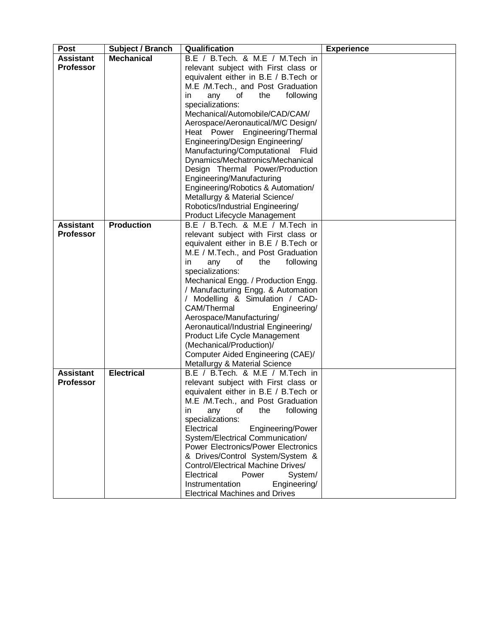| <b>Post</b>      | Subject / Branch  | <b>Qualification</b>                                                      | <b>Experience</b> |
|------------------|-------------------|---------------------------------------------------------------------------|-------------------|
| <b>Assistant</b> | <b>Mechanical</b> | B.E / B.Tech. & M.E / M.Tech in                                           |                   |
| <b>Professor</b> |                   | relevant subject with First class or                                      |                   |
|                  |                   | equivalent either in B.E / B.Tech or                                      |                   |
|                  |                   | M.E /M.Tech., and Post Graduation                                         |                   |
|                  |                   | any<br>the<br>following<br>in<br>of                                       |                   |
|                  |                   | specializations:                                                          |                   |
|                  |                   | Mechanical/Automobile/CAD/CAM/                                            |                   |
|                  |                   | Aerospace/Aeronautical/M/C Design/                                        |                   |
|                  |                   | Heat Power Engineering/Thermal                                            |                   |
|                  |                   | Engineering/Design Engineering/                                           |                   |
|                  |                   | Manufacturing/Computational Fluid                                         |                   |
|                  |                   | Dynamics/Mechatronics/Mechanical                                          |                   |
|                  |                   | Design Thermal Power/Production                                           |                   |
|                  |                   | Engineering/Manufacturing                                                 |                   |
|                  |                   | Engineering/Robotics & Automation/<br>Metallurgy & Material Science/      |                   |
|                  |                   | Robotics/Industrial Engineering/                                          |                   |
|                  |                   | Product Lifecycle Management                                              |                   |
| <b>Assistant</b> | <b>Production</b> | B.E / B.Tech. & M.E / M.Tech in                                           |                   |
| <b>Professor</b> |                   | relevant subject with First class or                                      |                   |
|                  |                   | equivalent either in B.E / B.Tech or                                      |                   |
|                  |                   | M.E / M.Tech., and Post Graduation                                        |                   |
|                  |                   | in<br>any<br>of<br>the<br>following                                       |                   |
|                  |                   | specializations:                                                          |                   |
|                  |                   | Mechanical Engg. / Production Engg.                                       |                   |
|                  |                   | / Manufacturing Engg. & Automation                                        |                   |
|                  |                   | / Modelling & Simulation / CAD-                                           |                   |
|                  |                   | CAM/Thermal<br>Engineering/                                               |                   |
|                  |                   | Aerospace/Manufacturing/                                                  |                   |
|                  |                   | Aeronautical/Industrial Engineering/                                      |                   |
|                  |                   | Product Life Cycle Management                                             |                   |
|                  |                   | (Mechanical/Production)/                                                  |                   |
|                  |                   | Computer Aided Engineering (CAE)/                                         |                   |
|                  |                   | Metallurgy & Material Science                                             |                   |
| <b>Assistant</b> | <b>Electrical</b> | B.E / B.Tech. & M.E / M.Tech in                                           |                   |
| <b>Professor</b> |                   | relevant subject with First class or                                      |                   |
|                  |                   | equivalent either in B.E / B.Tech or<br>M.E /M.Tech., and Post Graduation |                   |
|                  |                   | following<br>of<br>the                                                    |                   |
|                  |                   | any<br>in.<br>specializations:                                            |                   |
|                  |                   | Electrical<br>Engineering/Power                                           |                   |
|                  |                   | System/Electrical Communication/                                          |                   |
|                  |                   | <b>Power Electronics/Power Electronics</b>                                |                   |
|                  |                   | & Drives/Control System/System &                                          |                   |
|                  |                   | <b>Control/Electrical Machine Drives/</b>                                 |                   |
|                  |                   | Electrical<br>Power<br>System/                                            |                   |
|                  |                   | Instrumentation<br>Engineering/                                           |                   |
|                  |                   | <b>Electrical Machines and Drives</b>                                     |                   |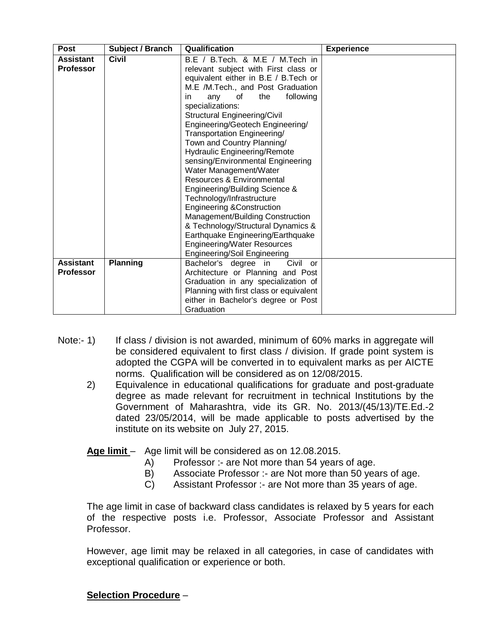| <b>Post</b>      | Subject / Branch | <b>Qualification</b>                    | <b>Experience</b> |
|------------------|------------------|-----------------------------------------|-------------------|
| <b>Assistant</b> | <b>Civil</b>     | B.E / B.Tech. & M.E / M.Tech in         |                   |
| <b>Professor</b> |                  | relevant subject with First class or    |                   |
|                  |                  | equivalent either in B.E / B.Tech or    |                   |
|                  |                  | M.E /M.Tech., and Post Graduation       |                   |
|                  |                  | following<br>of<br>the<br>in<br>any     |                   |
|                  |                  | specializations:                        |                   |
|                  |                  | <b>Structural Engineering/Civil</b>     |                   |
|                  |                  | Engineering/Geotech Engineering/        |                   |
|                  |                  | Transportation Engineering/             |                   |
|                  |                  | Town and Country Planning/              |                   |
|                  |                  | <b>Hydraulic Engineering/Remote</b>     |                   |
|                  |                  | sensing/Environmental Engineering       |                   |
|                  |                  | Water Management/Water                  |                   |
|                  |                  | Resources & Environmental               |                   |
|                  |                  | Engineering/Building Science &          |                   |
|                  |                  | Technology/Infrastructure               |                   |
|                  |                  | <b>Engineering &amp;Construction</b>    |                   |
|                  |                  | Management/Building Construction        |                   |
|                  |                  | & Technology/Structural Dynamics &      |                   |
|                  |                  | Earthquake Engineering/Earthquake       |                   |
|                  |                  | Engineering/Water Resources             |                   |
|                  |                  | Engineering/Soil Engineering            |                   |
| <b>Assistant</b> | <b>Planning</b>  | Civil or<br>Bachelor's degree in        |                   |
| <b>Professor</b> |                  | Architecture or Planning and Post       |                   |
|                  |                  | Graduation in any specialization of     |                   |
|                  |                  | Planning with first class or equivalent |                   |
|                  |                  | either in Bachelor's degree or Post     |                   |
|                  |                  | Graduation                              |                   |

- Note:- 1) If class / division is not awarded, minimum of 60% marks in aggregate will be considered equivalent to first class / division. If grade point system is adopted the CGPA will be converted in to equivalent marks as per AICTE norms. Qualification will be considered as on 12/08/2015.
	- 2) Equivalence in educational qualifications for graduate and post-graduate degree as made relevant for recruitment in technical Institutions by the Government of Maharashtra, vide its GR. No. 2013/(45/13)/TE.Ed.-2 dated 23/05/2014, will be made applicable to posts advertised by the institute on its website on July 27, 2015.

#### **Age limit** – Age limit will be considered as on 12.08.2015.

- A) Professor :- are Not more than 54 years of age.
- B) Associate Professor :- are Not more than 50 years of age.
- C) Assistant Professor :- are Not more than 35 years of age.

The age limit in case of backward class candidates is relaxed by 5 years for each of the respective posts i.e. Professor, Associate Professor and Assistant Professor.

However, age limit may be relaxed in all categories, in case of candidates with exceptional qualification or experience or both.

## **Selection Procedure** –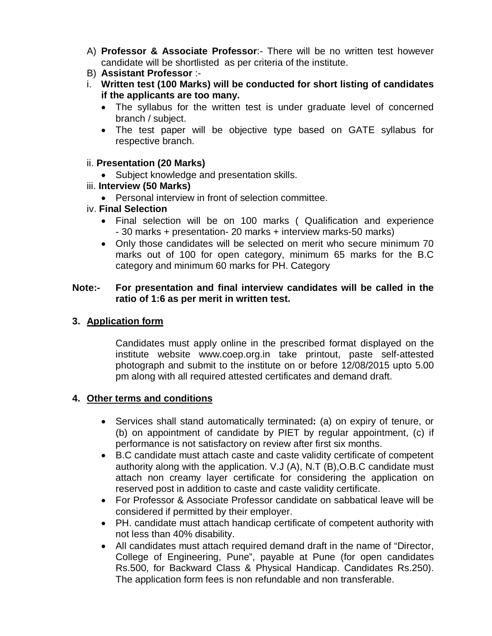- A) **Professor & Associate Professor**:- There will be no written test however candidate will be shortlisted as per criteria of the institute.
- B) **Assistant Professor** :-
- i. **Written test (100 Marks) will be conducted for short listing of candidates if the applicants are too many.**
	- The syllabus for the written test is under graduate level of concerned branch / subject.
	- The test paper will be objective type based on GATE syllabus for respective branch.

#### ii. **Presentation (20 Marks)**

- Subject knowledge and presentation skills.
- iii. **Interview (50 Marks)**
	- Personal interview in front of selection committee.

#### iv. **Final Selection**

- Final selection will be on 100 marks ( Qualification and experience - 30 marks + presentation- 20 marks + interview marks-50 marks)
- Only those candidates will be selected on merit who secure minimum 70 marks out of 100 for open category, minimum 65 marks for the B.C category and minimum 60 marks for PH. Category

#### **Note:- For presentation and final interview candidates will be called in the ratio of 1:6 as per merit in written test.**

### **3. Application form**

Candidates must apply online in the prescribed format displayed on the institute website www.coep.org.in take printout, paste self-attested photograph and submit to the institute on or before 12/08/2015 upto 5.00 pm along with all required attested certificates and demand draft.

#### **4. Other terms and conditions**

- Services shall stand automatically terminated**:** (a) on expiry of tenure, or (b) on appointment of candidate by PIET by regular appointment, (c) if performance is not satisfactory on review after first six months.
- B.C candidate must attach caste and caste validity certificate of competent authority along with the application. V.J (A), N.T (B),O.B.C candidate must attach non creamy layer certificate for considering the application on reserved post in addition to caste and caste validity certificate.
- For Professor & Associate Professor candidate on sabbatical leave will be considered if permitted by their employer.
- PH. candidate must attach handicap certificate of competent authority with not less than 40% disability.
- All candidates must attach required demand draft in the name of "Director, College of Engineering, Pune", payable at Pune (for open candidates Rs.500, for Backward Class & Physical Handicap. Candidates Rs.250). The application form fees is non refundable and non transferable.